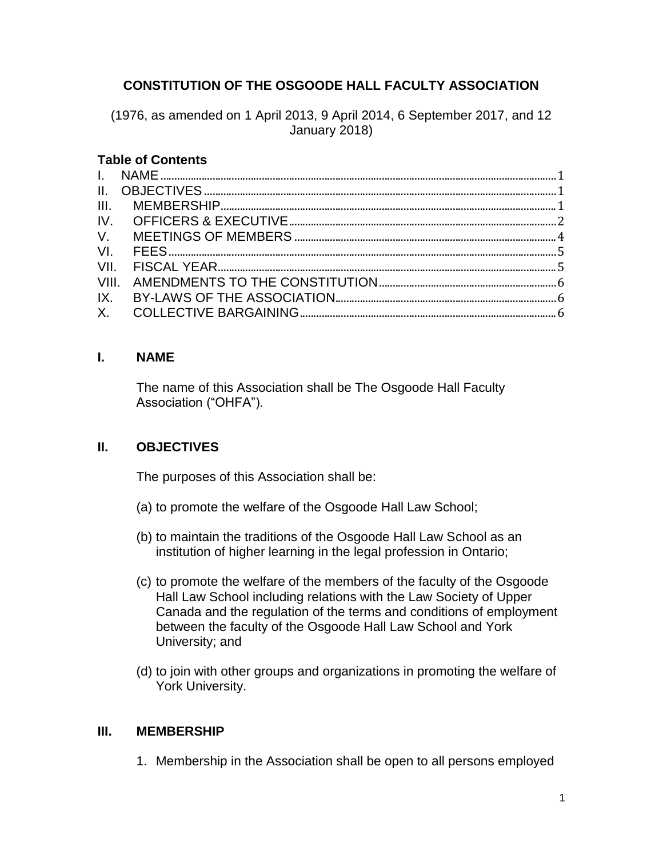# **CONSTITUTION OF THE OSGOODE HALL FACULTY ASSOCIATION**

(1976, as amended on 1 April 2013, 9 April 2014, 6 September 2017, and 12 January 2018)

#### **Table of Contents**

#### <span id="page-0-0"></span>**I. NAME**

The name of this Association shall be The Osgoode Hall Faculty Association ("OHFA").

## <span id="page-0-1"></span>**II. OBJECTIVES**

The purposes of this Association shall be:

- (a) to promote the welfare of the Osgoode Hall Law School;
- (b) to maintain the traditions of the Osgoode Hall Law School as an institution of higher learning in the legal profession in Ontario;
- (c) to promote the welfare of the members of the faculty of the Osgoode Hall Law School including relations with the Law Society of Upper Canada and the regulation of the terms and conditions of employment between the faculty of the Osgoode Hall Law School and York University; and
- (d) to join with other groups and organizations in promoting the welfare of York University.

#### <span id="page-0-2"></span>**III. MEMBERSHIP**

1. Membership in the Association shall be open to all persons employed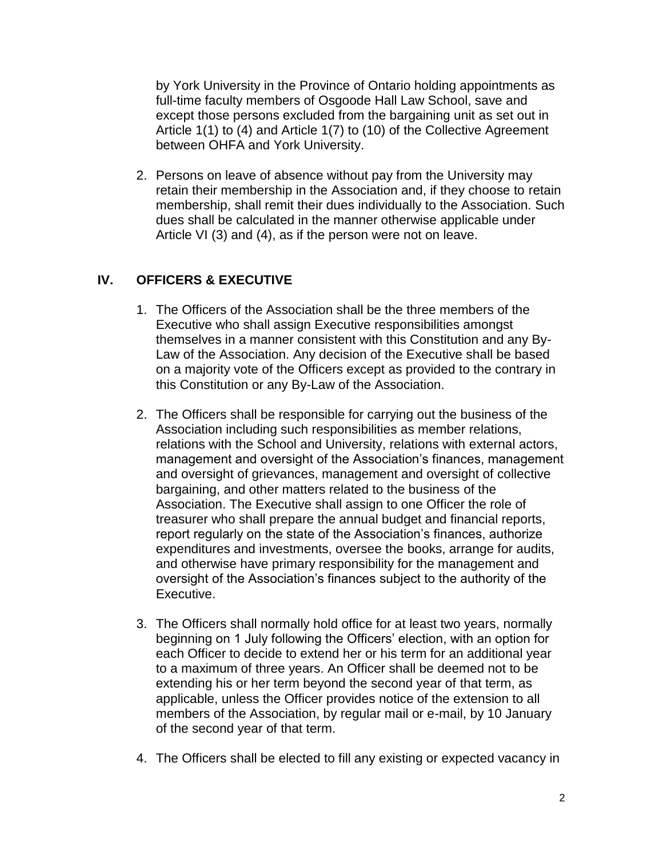by York University in the Province of Ontario holding appointments as full-time faculty members of Osgoode Hall Law School, save and except those persons excluded from the bargaining unit as set out in Article 1(1) to (4) and Article 1(7) to (10) of the Collective Agreement between OHFA and York University.

2. Persons on leave of absence without pay from the University may retain their membership in the Association and, if they choose to retain membership, shall remit their dues individually to the Association. Such dues shall be calculated in the manner otherwise applicable under Article VI (3) and (4), as if the person were not on leave.

# <span id="page-1-0"></span>**IV. OFFICERS & EXECUTIVE**

- 1. The Officers of the Association shall be the three members of the Executive who shall assign Executive responsibilities amongst themselves in a manner consistent with this Constitution and any By-Law of the Association. Any decision of the Executive shall be based on a majority vote of the Officers except as provided to the contrary in this Constitution or any By-Law of the Association.
- 2. The Officers shall be responsible for carrying out the business of the Association including such responsibilities as member relations, relations with the School and University, relations with external actors, management and oversight of the Association's finances, management and oversight of grievances, management and oversight of collective bargaining, and other matters related to the business of the Association. The Executive shall assign to one Officer the role of treasurer who shall prepare the annual budget and financial reports, report regularly on the state of the Association's finances, authorize expenditures and investments, oversee the books, arrange for audits, and otherwise have primary responsibility for the management and oversight of the Association's finances subject to the authority of the Executive.
- 3. The Officers shall normally hold office for at least two years, normally beginning on 1 July following the Officers' election, with an option for each Officer to decide to extend her or his term for an additional year to a maximum of three years. An Officer shall be deemed not to be extending his or her term beyond the second year of that term, as applicable, unless the Officer provides notice of the extension to all members of the Association, by regular mail or e-mail, by 10 January of the second year of that term.
- 4. The Officers shall be elected to fill any existing or expected vacancy in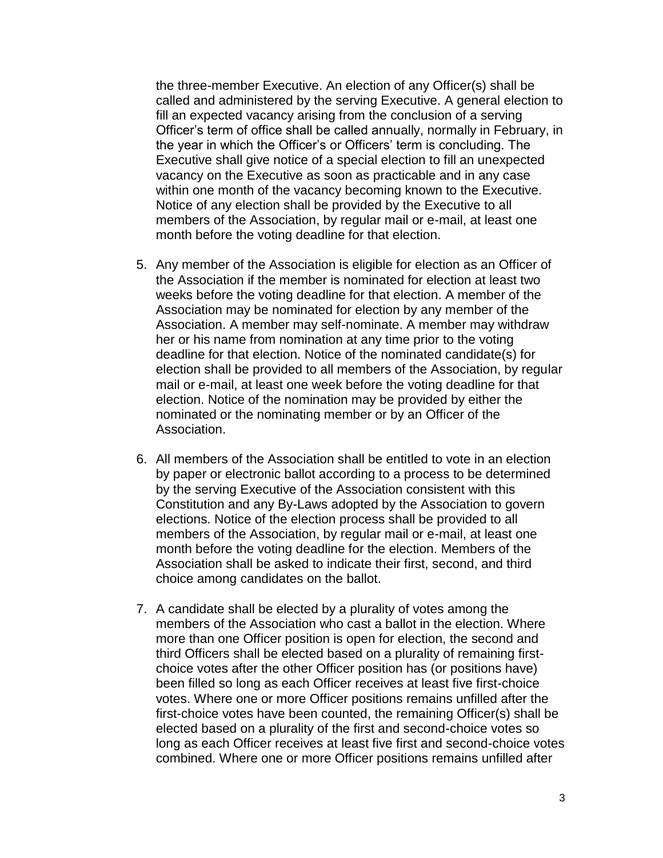the three-member Executive. An election of any Officer(s) shall be called and administered by the serving Executive. A general election to fill an expected vacancy arising from the conclusion of a serving Officer's term of office shall be called annually, normally in February, in the year in which the Officer's or Officers' term is concluding. The Executive shall give notice of a special election to fill an unexpected vacancy on the Executive as soon as practicable and in any case within one month of the vacancy becoming known to the Executive. Notice of any election shall be provided by the Executive to all members of the Association, by regular mail or e-mail, at least one month before the voting deadline for that election.

- 5. Any member of the Association is eligible for election as an Officer of the Association if the member is nominated for election at least two weeks before the voting deadline for that election. A member of the Association may be nominated for election by any member of the Association. A member may self-nominate. A member may withdraw her or his name from nomination at any time prior to the voting deadline for that election. Notice of the nominated candidate(s) for election shall be provided to all members of the Association, by regular mail or e-mail, at least one week before the voting deadline for that election. Notice of the nomination may be provided by either the nominated or the nominating member or by an Officer of the Association.
- 6. All members of the Association shall be entitled to vote in an election by paper or electronic ballot according to a process to be determined by the serving Executive of the Association consistent with this Constitution and any By-Laws adopted by the Association to govern elections. Notice of the election process shall be provided to all members of the Association, by regular mail or e-mail, at least one month before the voting deadline for the election. Members of the Association shall be asked to indicate their first, second, and third choice among candidates on the ballot.
- 7. A candidate shall be elected by a plurality of votes among the members of the Association who cast a ballot in the election. Where more than one Officer position is open for election, the second and third Officers shall be elected based on a plurality of remaining firstchoice votes after the other Officer position has (or positions have) been filled so long as each Officer receives at least five first-choice votes. Where one or more Officer positions remains unfilled after the first-choice votes have been counted, the remaining Officer(s) shall be elected based on a plurality of the first and second-choice votes so long as each Officer receives at least five first and second-choice votes combined. Where one or more Officer positions remains unfilled after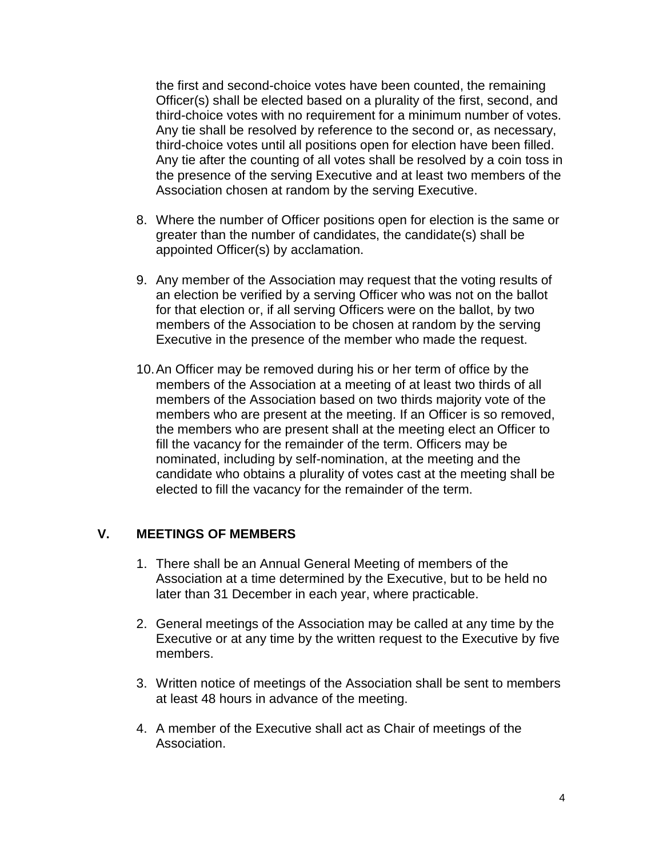the first and second-choice votes have been counted, the remaining Officer(s) shall be elected based on a plurality of the first, second, and third-choice votes with no requirement for a minimum number of votes. Any tie shall be resolved by reference to the second or, as necessary, third-choice votes until all positions open for election have been filled. Any tie after the counting of all votes shall be resolved by a coin toss in the presence of the serving Executive and at least two members of the Association chosen at random by the serving Executive.

- 8. Where the number of Officer positions open for election is the same or greater than the number of candidates, the candidate(s) shall be appointed Officer(s) by acclamation.
- 9. Any member of the Association may request that the voting results of an election be verified by a serving Officer who was not on the ballot for that election or, if all serving Officers were on the ballot, by two members of the Association to be chosen at random by the serving Executive in the presence of the member who made the request.
- 10.An Officer may be removed during his or her term of office by the members of the Association at a meeting of at least two thirds of all members of the Association based on two thirds majority vote of the members who are present at the meeting. If an Officer is so removed, the members who are present shall at the meeting elect an Officer to fill the vacancy for the remainder of the term. Officers may be nominated, including by self-nomination, at the meeting and the candidate who obtains a plurality of votes cast at the meeting shall be elected to fill the vacancy for the remainder of the term.

#### <span id="page-3-0"></span>**V. MEETINGS OF MEMBERS**

- 1. There shall be an Annual General Meeting of members of the Association at a time determined by the Executive, but to be held no later than 31 December in each year, where practicable.
- 2. General meetings of the Association may be called at any time by the Executive or at any time by the written request to the Executive by five members.
- 3. Written notice of meetings of the Association shall be sent to members at least 48 hours in advance of the meeting.
- 4. A member of the Executive shall act as Chair of meetings of the Association.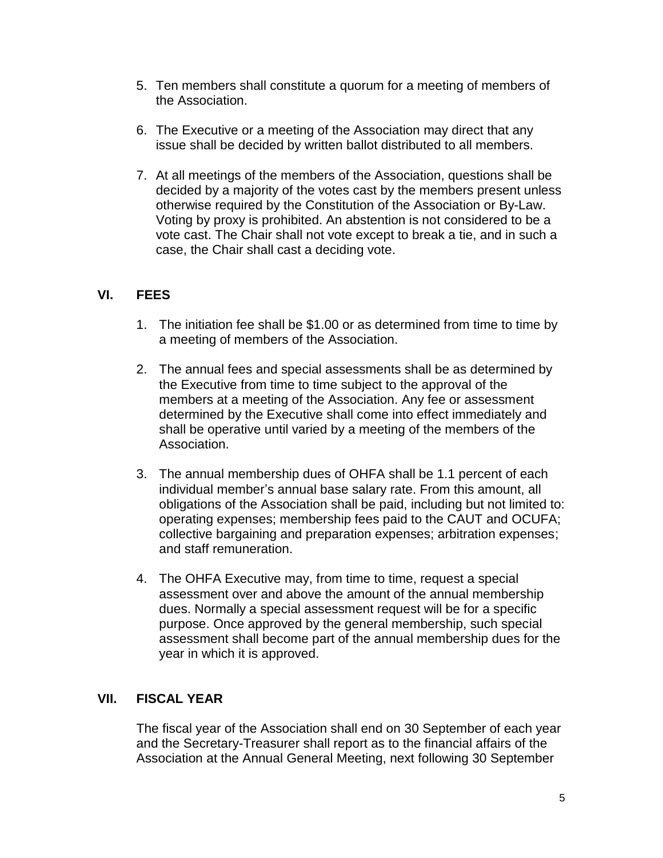- 5. Ten members shall constitute a quorum for a meeting of members of the Association.
- 6. The Executive or a meeting of the Association may direct that any issue shall be decided by written ballot distributed to all members.
- 7. At all meetings of the members of the Association, questions shall be decided by a majority of the votes cast by the members present unless otherwise required by the Constitution of the Association or By-Law. Voting by proxy is prohibited. An abstention is not considered to be a vote cast. The Chair shall not vote except to break a tie, and in such a case, the Chair shall cast a deciding vote.

## <span id="page-4-0"></span>**VI. FEES**

- 1. The initiation fee shall be \$1.00 or as determined from time to time by a meeting of members of the Association.
- 2. The annual fees and special assessments shall be as determined by the Executive from time to time subject to the approval of the members at a meeting of the Association. Any fee or assessment determined by the Executive shall come into effect immediately and shall be operative until varied by a meeting of the members of the Association.
- 3. The annual membership dues of OHFA shall be 1.1 percent of each individual member's annual base salary rate. From this amount, all obligations of the Association shall be paid, including but not limited to: operating expenses; membership fees paid to the CAUT and OCUFA; collective bargaining and preparation expenses; arbitration expenses; and staff remuneration.
- 4. The OHFA Executive may, from time to time, request a special assessment over and above the amount of the annual membership dues. Normally a special assessment request will be for a specific purpose. Once approved by the general membership, such special assessment shall become part of the annual membership dues for the year in which it is approved.

## <span id="page-4-1"></span>**VII. FISCAL YEAR**

The fiscal year of the Association shall end on 30 September of each year and the Secretary-Treasurer shall report as to the financial affairs of the Association at the Annual General Meeting, next following 30 September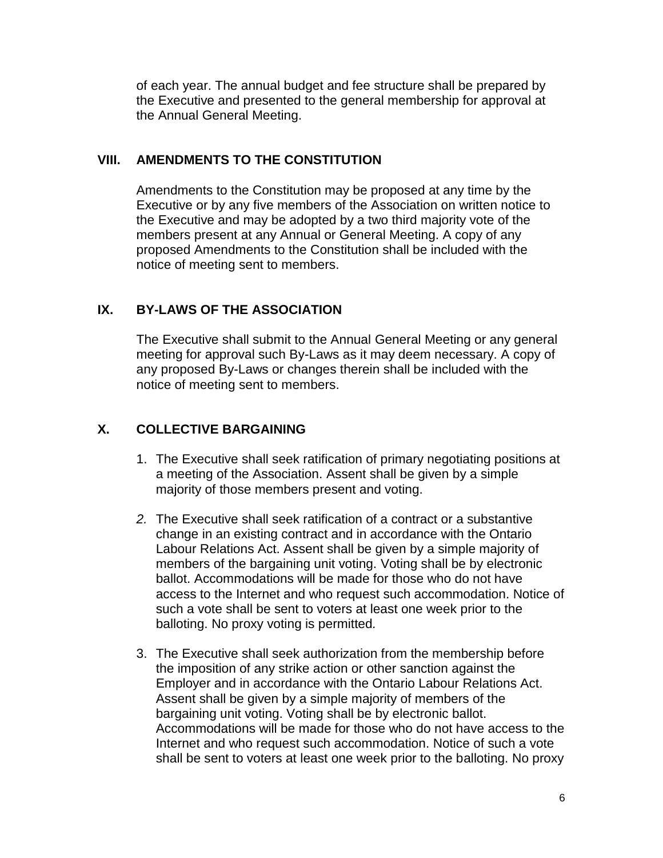of each year. The annual budget and fee structure shall be prepared by the Executive and presented to the general membership for approval at the Annual General Meeting.

#### <span id="page-5-0"></span>**VIII. AMENDMENTS TO THE CONSTITUTION**

Amendments to the Constitution may be proposed at any time by the Executive or by any five members of the Association on written notice to the Executive and may be adopted by a two third majority vote of the members present at any Annual or General Meeting. A copy of any proposed Amendments to the Constitution shall be included with the notice of meeting sent to members.

## <span id="page-5-1"></span>**IX. BY-LAWS OF THE ASSOCIATION**

The Executive shall submit to the Annual General Meeting or any general meeting for approval such By-Laws as it may deem necessary. A copy of any proposed By-Laws or changes therein shall be included with the notice of meeting sent to members.

# <span id="page-5-2"></span>**X. COLLECTIVE BARGAINING**

- 1. The Executive shall seek ratification of primary negotiating positions at a meeting of the Association. Assent shall be given by a simple majority of those members present and voting.
- *2.* The Executive shall seek ratification of a contract or a substantive change in an existing contract and in accordance with the Ontario Labour Relations Act. Assent shall be given by a simple majority of members of the bargaining unit voting. Voting shall be by electronic ballot. Accommodations will be made for those who do not have access to the Internet and who request such accommodation. Notice of such a vote shall be sent to voters at least one week prior to the balloting. No proxy voting is permitted*.*
- 3. The Executive shall seek authorization from the membership before the imposition of any strike action or other sanction against the Employer and in accordance with the Ontario Labour Relations Act. Assent shall be given by a simple majority of members of the bargaining unit voting. Voting shall be by electronic ballot. Accommodations will be made for those who do not have access to the Internet and who request such accommodation. Notice of such a vote shall be sent to voters at least one week prior to the balloting. No proxy